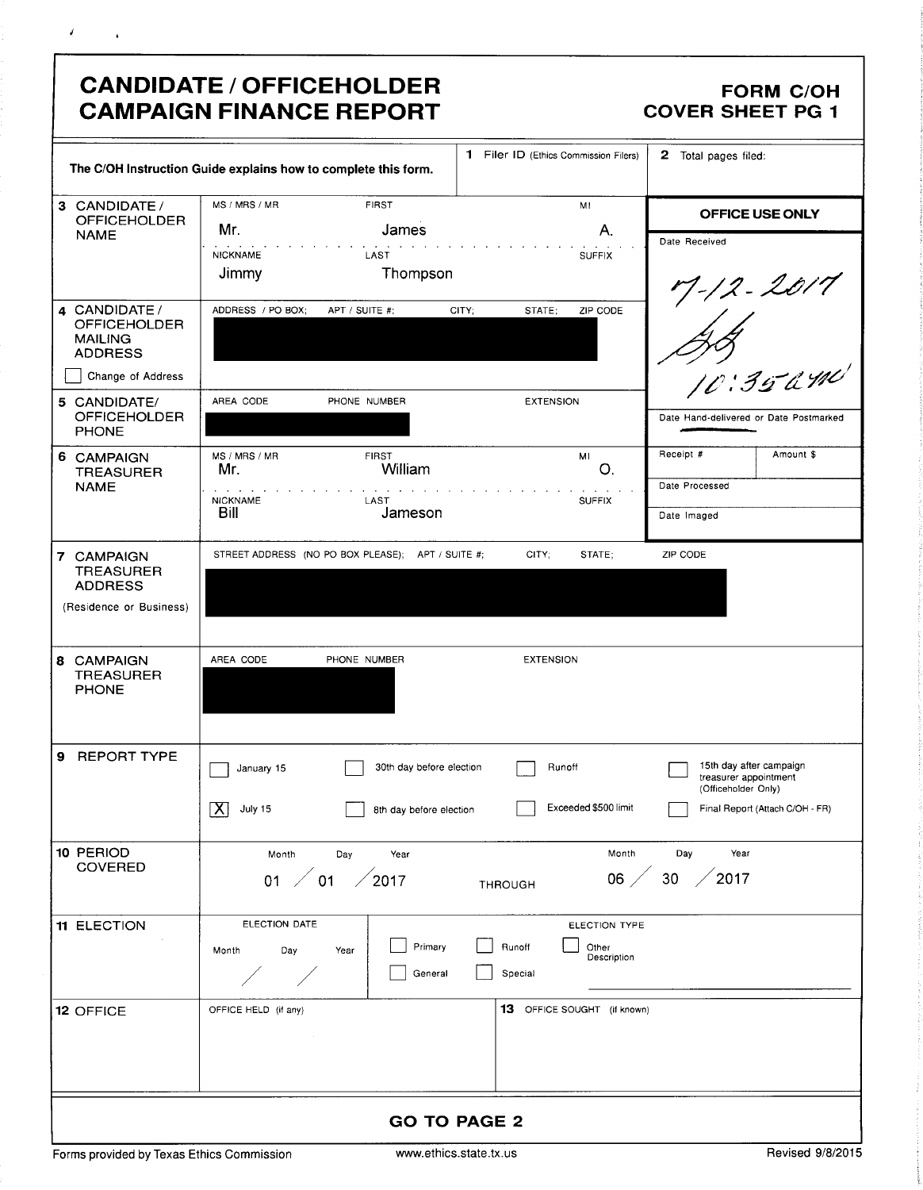|                                                                          | <b>CANDIDATE / OFFICEHOLDER</b><br><b>CAMPAIGN FINANCE REPORT</b> |                                                                 | <b>FORM C/OH</b><br><b>COVER SHEET PG 1</b>                             |
|--------------------------------------------------------------------------|-------------------------------------------------------------------|-----------------------------------------------------------------|-------------------------------------------------------------------------|
|                                                                          | The C/OH Instruction Guide explains how to complete this form.    | 1 Filer ID (Ethics Commission Filers)                           | 2 Total pages filed:                                                    |
| 3 CANDIDATE /<br><b>OFFICEHOLDER</b>                                     | MS / MRS / MR<br><b>FIRST</b>                                     | MI                                                              | OFFICE USE ONLY                                                         |
| <b>NAME</b>                                                              | Mr.<br>James<br><b>NICKNAME</b><br>LAST<br>Thompson<br>Jimmy      | Α.<br><b>SUFFIX</b>                                             | Date Received                                                           |
| 4 CANDIDATE /<br><b>OFFICEHOLDER</b><br><b>MAILING</b><br><b>ADDRESS</b> | ADDRESS / PO BOX;<br>APT / SUITE #:                               | CITY:<br>ZIP CODE<br>STATE;                                     | ry - 12 - 2017<br>  / /<br>058<br>10:35 ami                             |
| Change of Address                                                        |                                                                   |                                                                 |                                                                         |
| 5 CANDIDATE/<br><b>OFFICEHOLDER</b><br><b>PHONE</b>                      | AREA CODE<br>PHONE NUMBER                                         | <b>EXTENSION</b>                                                | Date Hand-delivered or Date Postmarked                                  |
| 6 CAMPAIGN<br><b>TREASURER</b>                                           | MS / MRS / MR<br><b>FIRST</b><br>William<br>Mr.                   | MI<br>O.                                                        | Receipt #<br>Amount \$                                                  |
| <b>NAME</b>                                                              | <b>NICKNAME</b><br>LAST<br>Bill<br>Jameson                        | <b>SUFFIX</b>                                                   | Date Processed<br>Date Imaged                                           |
| 7 CAMPAIGN<br><b>TREASURER</b><br><b>ADDRESS</b>                         | STREET ADDRESS (NO PO BOX PLEASE); APT / SUITE #;                 | CITY;<br>STATE;                                                 | ZIP CODE                                                                |
| (Residence or Business)                                                  |                                                                   |                                                                 |                                                                         |
| 8 CAMPAIGN<br><b>TREASURER</b><br><b>PHONE</b>                           | AREA CODE<br>PHONE NUMBER                                         | <b>EXTENSION</b>                                                |                                                                         |
| <b>REPORT TYPE</b><br>9                                                  | 30th day before election<br>January 15                            | Runoff                                                          | 15th day after campaign<br>treasurer appointment<br>(Officeholder Only) |
|                                                                          | $\overline{\mathsf{x}}$<br>July 15<br>8th day before election     | Exceeded \$500 limit                                            | Final Report (Attach C/OH - FR)                                         |
| 10 PERIOD<br><b>COVERED</b>                                              | Month<br>Day<br>Year                                              | Month                                                           | Year<br>Day                                                             |
|                                                                          | $^\prime$ 01<br>$\sqrt{2017}$<br>01                               | 06 <sub>2</sub><br><b>THROUGH</b>                               | 30<br>2017                                                              |
| 11 ELECTION                                                              | ELECTION DATE                                                     | ELECTION TYPE                                                   |                                                                         |
|                                                                          | Month<br>Day<br>Year                                              | Primary<br>Runoff<br>Other<br>Description<br>General<br>Special |                                                                         |
| 12 OFFICE                                                                | OFFICE HELD (if any)                                              | 13 OFFICE SOUGHT (if known)                                     |                                                                         |
|                                                                          |                                                                   |                                                                 |                                                                         |
|                                                                          |                                                                   | <b>GO TO PAGE 2</b>                                             |                                                                         |

 $\mathcal{L}$ 

 $\sqrt{ }$ 

 $\sim 10^{11}$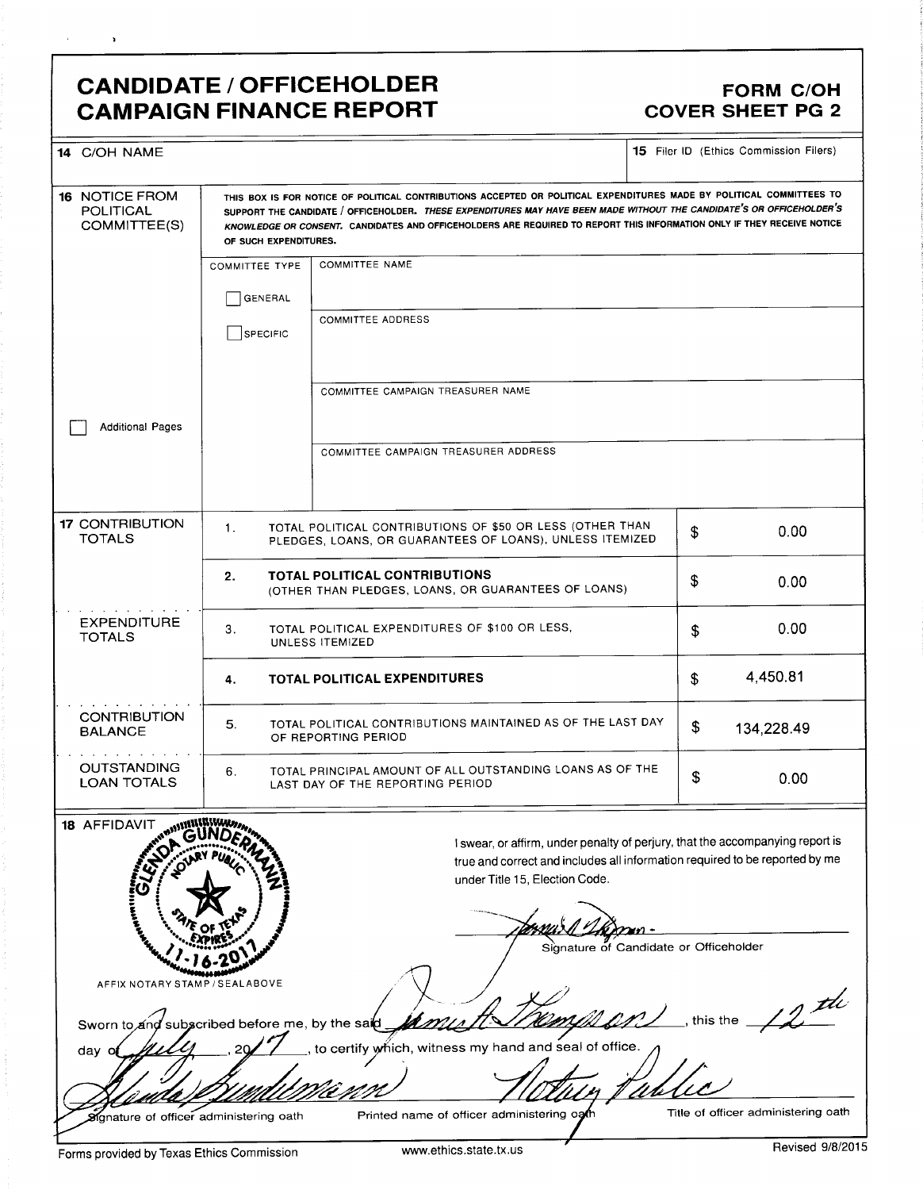### CANDIDATE / OFFICEHOLDER FORM C/OH<br>CAMPAIGN FINANCE REPORT COVER SHEET PG 2 **CAMPAIGN FINANCE REPORT**

 $\lambda$ 

| 14 C/OH NAME                                                                     |                                                                                                                                                                                                                                                                                                                                                                                                  |                                                                                                                                                                                                                                          | <b>15</b> Filer ID (Ethics Commission Filers) |  |  |  |
|----------------------------------------------------------------------------------|--------------------------------------------------------------------------------------------------------------------------------------------------------------------------------------------------------------------------------------------------------------------------------------------------------------------------------------------------------------------------------------------------|------------------------------------------------------------------------------------------------------------------------------------------------------------------------------------------------------------------------------------------|-----------------------------------------------|--|--|--|
| <b>16 NOTICE FROM</b><br><b>POLITICAL</b><br>COMMITTEE(S)                        | THIS BOX IS FOR NOTICE OF POLITICAL CONTRIBUTIONS ACCEPTED OR POLITICAL EXPENDITURES MADE BY POLITICAL COMMITTEES TO<br>SUPPORT THE CANDIDATE / OFFICEHOLDER. THESE EXPENDITURES MAY HAVE BEEN MADE WITHOUT THE CANDIDATE'S OR OFFICEHOLDER'S<br>KNOWLEDGE OR CONSENT. CANDIDATES AND OFFICEHOLDERS ARE REQUIRED TO REPORT THIS INFORMATION ONLY IF THEY RECEIVE NOTICE<br>OF SUCH EXPENDITURES. |                                                                                                                                                                                                                                          |                                               |  |  |  |
|                                                                                  | <b>COMMITTEE TYPE</b>                                                                                                                                                                                                                                                                                                                                                                            | <b>COMMITTEE NAME</b>                                                                                                                                                                                                                    |                                               |  |  |  |
|                                                                                  | GENERAL                                                                                                                                                                                                                                                                                                                                                                                          |                                                                                                                                                                                                                                          |                                               |  |  |  |
|                                                                                  | SPECIFIC                                                                                                                                                                                                                                                                                                                                                                                         | <b>COMMITTEE ADDRESS</b>                                                                                                                                                                                                                 |                                               |  |  |  |
|                                                                                  |                                                                                                                                                                                                                                                                                                                                                                                                  | COMMITTEE CAMPAIGN TREASURER NAME                                                                                                                                                                                                        |                                               |  |  |  |
| <b>Additional Pages</b>                                                          |                                                                                                                                                                                                                                                                                                                                                                                                  |                                                                                                                                                                                                                                          |                                               |  |  |  |
|                                                                                  |                                                                                                                                                                                                                                                                                                                                                                                                  | COMMITTEE CAMPAIGN TREASURER ADDRESS                                                                                                                                                                                                     |                                               |  |  |  |
| 17 CONTRIBUTION<br><b>TOTALS</b>                                                 | TOTAL POLITICAL CONTRIBUTIONS OF \$50 OR LESS (OTHER THAN<br>1.<br>PLEDGES, LOANS, OR GUARANTEES OF LOANS), UNLESS ITEMIZED                                                                                                                                                                                                                                                                      | 0.00<br>\$                                                                                                                                                                                                                               |                                               |  |  |  |
|                                                                                  | TOTAL POLITICAL CONTRIBUTIONS<br>2.<br>(OTHER THAN PLEDGES, LOANS, OR GUARANTEES OF LOANS)                                                                                                                                                                                                                                                                                                       |                                                                                                                                                                                                                                          |                                               |  |  |  |
| <b>EXPENDITURE</b><br><b>TOTALS</b>                                              | TOTAL POLITICAL EXPENDITURES OF \$100 OR LESS,<br>З.<br>UNLESS ITEMIZED                                                                                                                                                                                                                                                                                                                          | 0.00<br>\$                                                                                                                                                                                                                               |                                               |  |  |  |
|                                                                                  | <b>TOTAL POLITICAL EXPENDITURES</b><br>4.                                                                                                                                                                                                                                                                                                                                                        |                                                                                                                                                                                                                                          |                                               |  |  |  |
| <b>CONTRIBUTION</b><br><b>BALANCE</b>                                            | TOTAL POLITICAL CONTRIBUTIONS MAINTAINED AS OF THE LAST DAY<br>5.<br>OF REPORTING PERIOD                                                                                                                                                                                                                                                                                                         | \$<br>134,228.49                                                                                                                                                                                                                         |                                               |  |  |  |
| <b>OUTSTANDING</b><br><b>LOAN TOTALS</b>                                         | TOTAL PRINCIPAL AMOUNT OF ALL OUTSTANDING LOANS AS OF THE<br>6.<br>LAST DAY OF THE REPORTING PERIOD                                                                                                                                                                                                                                                                                              | \$<br>0.00                                                                                                                                                                                                                               |                                               |  |  |  |
| 18 AFFIDAVIT<br>NEWSTERN WARD<br><b>Altrea</b>                                   |                                                                                                                                                                                                                                                                                                                                                                                                  | I swear, or affirm, under penalty of perjury, that the accompanying report is<br>true and correct and includes all information required to be reported by me<br>under Title 15, Election Code.<br>Signature of Candidate or Officeholder |                                               |  |  |  |
| AFFIX NOTARY STAMP / SEALABOVE<br>Sworn to and subscribed before me, by the said |                                                                                                                                                                                                                                                                                                                                                                                                  |                                                                                                                                                                                                                                          | this the                                      |  |  |  |
| day o                                                                            |                                                                                                                                                                                                                                                                                                                                                                                                  | to certify which, witness my hand and seal of office.                                                                                                                                                                                    |                                               |  |  |  |
| Signature of officer administering oath                                          |                                                                                                                                                                                                                                                                                                                                                                                                  | Printed name of officer administering ogth                                                                                                                                                                                               | Title of officer administering oath           |  |  |  |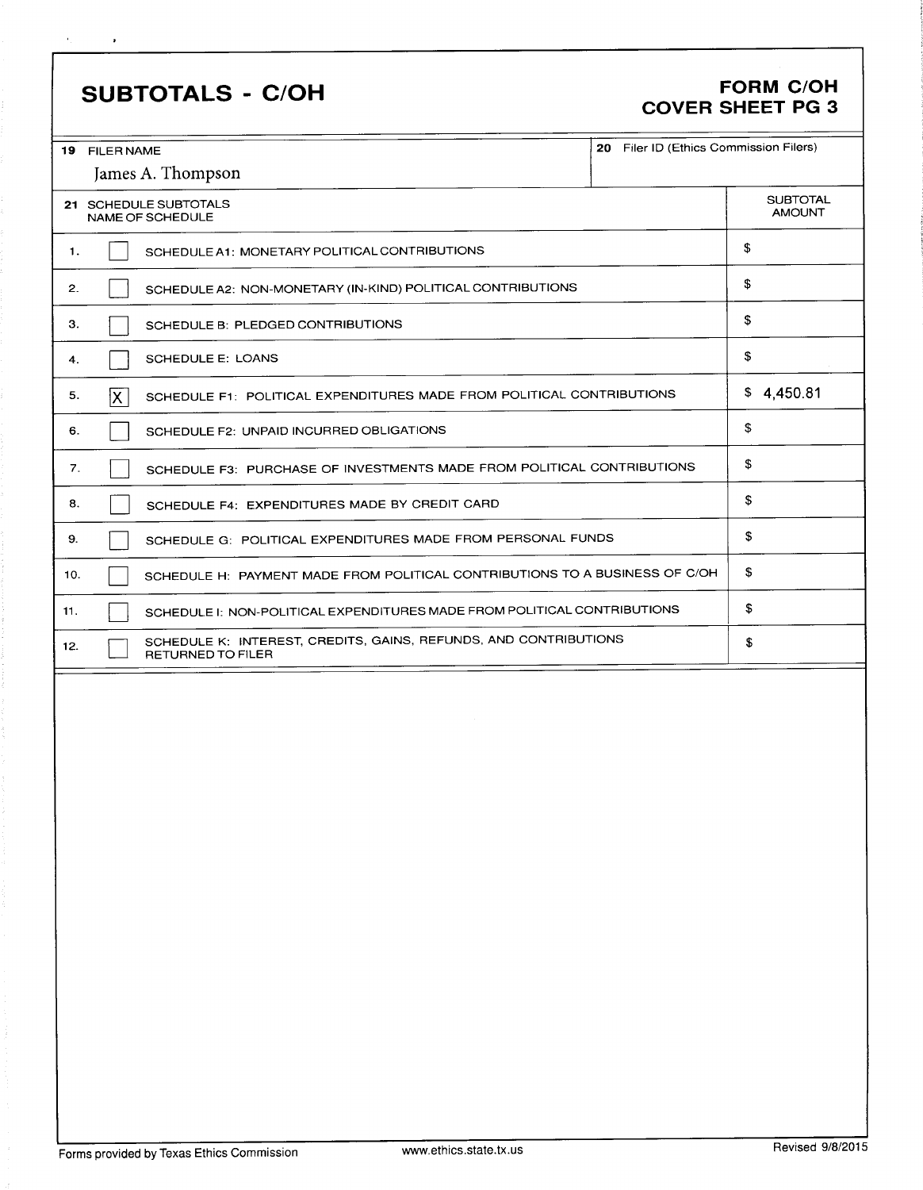## SUBTOTALS - C/OH FORM C/OH

 $\mathbf{A}_{\rm{max}}$  and  $\hat{\mathbf{r}}$ 

# COVER SHEET PG 3

| 20 Filer ID (Ethics Commission Filers)<br>19 FILER NAME<br>James A. Thompson                 |                                                                             |            |  |  |  |  |
|----------------------------------------------------------------------------------------------|-----------------------------------------------------------------------------|------------|--|--|--|--|
|                                                                                              |                                                                             |            |  |  |  |  |
| 21 SCHEDULE SUBTOTALS<br>NAME OF SCHEDULE                                                    | <b>SUBTOTAL</b><br><b>AMOUNT</b>                                            |            |  |  |  |  |
| 1.                                                                                           | SCHEDULE A1: MONETARY POLITICAL CONTRIBUTIONS                               |            |  |  |  |  |
| 2.                                                                                           | SCHEDULE A2: NON-MONETARY (IN-KIND) POLITICAL CONTRIBUTIONS                 | \$         |  |  |  |  |
| З.                                                                                           | SCHEDULE B: PLEDGED CONTRIBUTIONS                                           | \$         |  |  |  |  |
| 4.                                                                                           | <b>SCHEDULE E: LOANS</b>                                                    | \$         |  |  |  |  |
| 5.<br>X                                                                                      | SCHEDULE F1: POLITICAL EXPENDITURES MADE FROM POLITICAL CONTRIBUTIONS       | \$4,450.81 |  |  |  |  |
| 6.                                                                                           | SCHEDULE F2: UNPAID INCURRED OBLIGATIONS                                    | \$         |  |  |  |  |
| 7.                                                                                           | SCHEDULE F3: PURCHASE OF INVESTMENTS MADE FROM POLITICAL CONTRIBUTIONS      | \$         |  |  |  |  |
| 8.                                                                                           | SCHEDULE F4: EXPENDITURES MADE BY CREDIT CARD                               | \$         |  |  |  |  |
| 9.                                                                                           | SCHEDULE G: POLITICAL EXPENDITURES MADE FROM PERSONAL FUNDS                 | \$         |  |  |  |  |
| 10.                                                                                          | SCHEDULE H: PAYMENT MADE FROM POLITICAL CONTRIBUTIONS TO A BUSINESS OF C/OH | \$         |  |  |  |  |
| 11.                                                                                          | SCHEDULE I: NON-POLITICAL EXPENDITURES MADE FROM POLITICAL CONTRIBUTIONS    |            |  |  |  |  |
| SCHEDULE K: INTEREST, CREDITS, GAINS, REFUNDS, AND CONTRIBUTIONS<br>12.<br>RETURNED TO FILER | \$                                                                          |            |  |  |  |  |
|                                                                                              |                                                                             |            |  |  |  |  |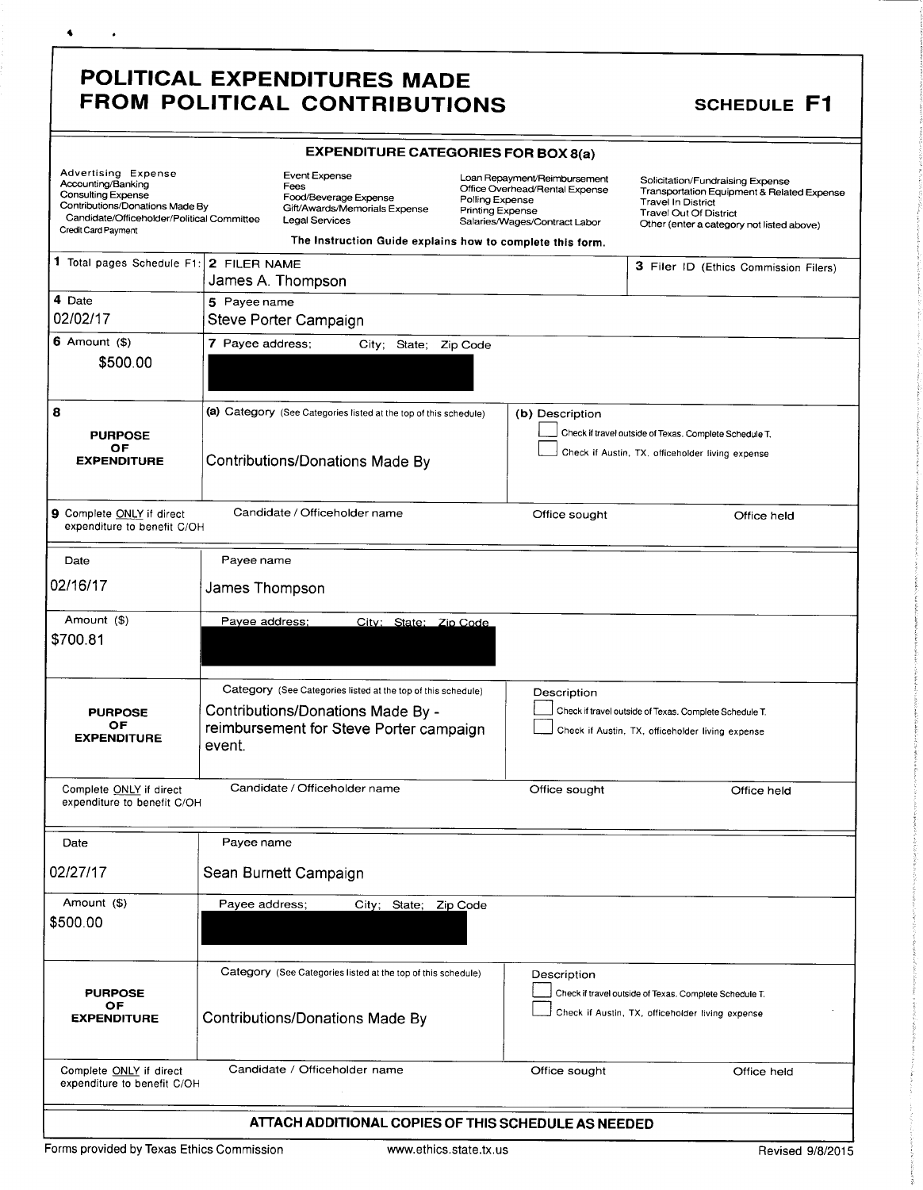### POLITICAL EXPENDITURES MADE FROM POLITICAL CONTRIBUTIONS SCHEDULE F1

4

 $\sim$ 

| Advertising Expense<br>Accounting/Banking<br>Consulting Expense<br>Contributions/Donations Made By<br>Candidate/Officeholder/Political Committee<br>Credit Card Payment |                  | <b>Event Expense</b><br>Loan Repayment/Reimbursement<br>Fees<br>Office Overhead/Rental Expense<br>Food/Beverage Expense<br>Polling Expense<br>Gift/Awards/Memorials Expense<br>Printing Expense<br><b>Legal Services</b><br>Salaries/Wages/Contract Labor<br>The Instruction Guide explains how to complete this form. |                 | Solicitation/Fundraising Expense<br>Transportation Equipment & Related Expense<br><b>Travel In District</b><br><b>Travel Out Of District</b><br>Other (enter a category not listed above) |                                                                                                            |
|-------------------------------------------------------------------------------------------------------------------------------------------------------------------------|------------------|------------------------------------------------------------------------------------------------------------------------------------------------------------------------------------------------------------------------------------------------------------------------------------------------------------------------|-----------------|-------------------------------------------------------------------------------------------------------------------------------------------------------------------------------------------|------------------------------------------------------------------------------------------------------------|
| 1 Total pages Schedule F1:                                                                                                                                              | 2 FILER NAME     | James A. Thompson                                                                                                                                                                                                                                                                                                      |                 |                                                                                                                                                                                           | 3 Filer ID (Ethics Commission Filers)                                                                      |
| 4 Date<br>02/02/17                                                                                                                                                      | 5 Payee name     | Steve Porter Campaign                                                                                                                                                                                                                                                                                                  |                 |                                                                                                                                                                                           |                                                                                                            |
| $6$ Amount $($ 8)<br>\$500.00                                                                                                                                           | 7 Payee address; | City;                                                                                                                                                                                                                                                                                                                  | State; Zip Code |                                                                                                                                                                                           |                                                                                                            |
| 8<br><b>PURPOSE</b><br>ОF<br><b>EXPENDITURE</b>                                                                                                                         |                  | (a) Category (See Categories listed at the top of this schedule)<br><b>Contributions/Donations Made By</b>                                                                                                                                                                                                             |                 | (b) Description                                                                                                                                                                           | Check if travel outside of Texas. Complete Schedule T.<br>Check if Austin, TX, officeholder living expense |
| 9 Complete ONLY if direct<br>expenditure to benefit C/OH                                                                                                                |                  | Candidate / Officeholder name                                                                                                                                                                                                                                                                                          |                 | Office sought                                                                                                                                                                             | Office held                                                                                                |
| Date                                                                                                                                                                    | Payee name       |                                                                                                                                                                                                                                                                                                                        |                 |                                                                                                                                                                                           |                                                                                                            |
| 02/16/17                                                                                                                                                                | James Thompson   |                                                                                                                                                                                                                                                                                                                        |                 |                                                                                                                                                                                           |                                                                                                            |
| Amount (\$)<br>\$700.81                                                                                                                                                 | Payee address;   | City: State: Zip Code                                                                                                                                                                                                                                                                                                  |                 |                                                                                                                                                                                           |                                                                                                            |
| <b>PURPOSE</b><br><b>OF</b><br><b>EXPENDITURE</b>                                                                                                                       | event.           | Category (See Categories listed at the top of this schedule)<br>Contributions/Donations Made By -<br>reimbursement for Steve Porter campaign                                                                                                                                                                           |                 | Description                                                                                                                                                                               | Check if travel outside of Texas. Complete Schedule T.<br>Check if Austin, TX, officeholder living expense |
| Complete ONLY if direct<br>expenditure to benefit C/OH                                                                                                                  |                  | Candidate / Officeholder name                                                                                                                                                                                                                                                                                          |                 | Office sought                                                                                                                                                                             | Office held                                                                                                |
| Date                                                                                                                                                                    | Payee name       |                                                                                                                                                                                                                                                                                                                        |                 |                                                                                                                                                                                           |                                                                                                            |
| 02/27/17                                                                                                                                                                |                  | Sean Burnett Campaign                                                                                                                                                                                                                                                                                                  |                 |                                                                                                                                                                                           |                                                                                                            |
| Amount (\$)<br>\$500.00                                                                                                                                                 | Payee address;   | City; State; Zip Code                                                                                                                                                                                                                                                                                                  |                 |                                                                                                                                                                                           |                                                                                                            |
| <b>PURPOSE</b><br>OF<br><b>EXPENDITURE</b>                                                                                                                              |                  | Category (See Categories listed at the top of this schedule)<br><b>Contributions/Donations Made By</b>                                                                                                                                                                                                                 |                 | Description                                                                                                                                                                               | Check if travel outside of Texas. Complete Schedule T.<br>Check if Austin, TX, officeholder living expense |
| Complete ONLY if direct<br>expenditure to benefit C/OH                                                                                                                  |                  | Candidate / Officeholder name                                                                                                                                                                                                                                                                                          |                 | Office sought                                                                                                                                                                             | Office held                                                                                                |
|                                                                                                                                                                         |                  | ATTACH ADDITIONAL COPIES OF THIS SCHEDULE AS NEEDED                                                                                                                                                                                                                                                                    |                 |                                                                                                                                                                                           |                                                                                                            |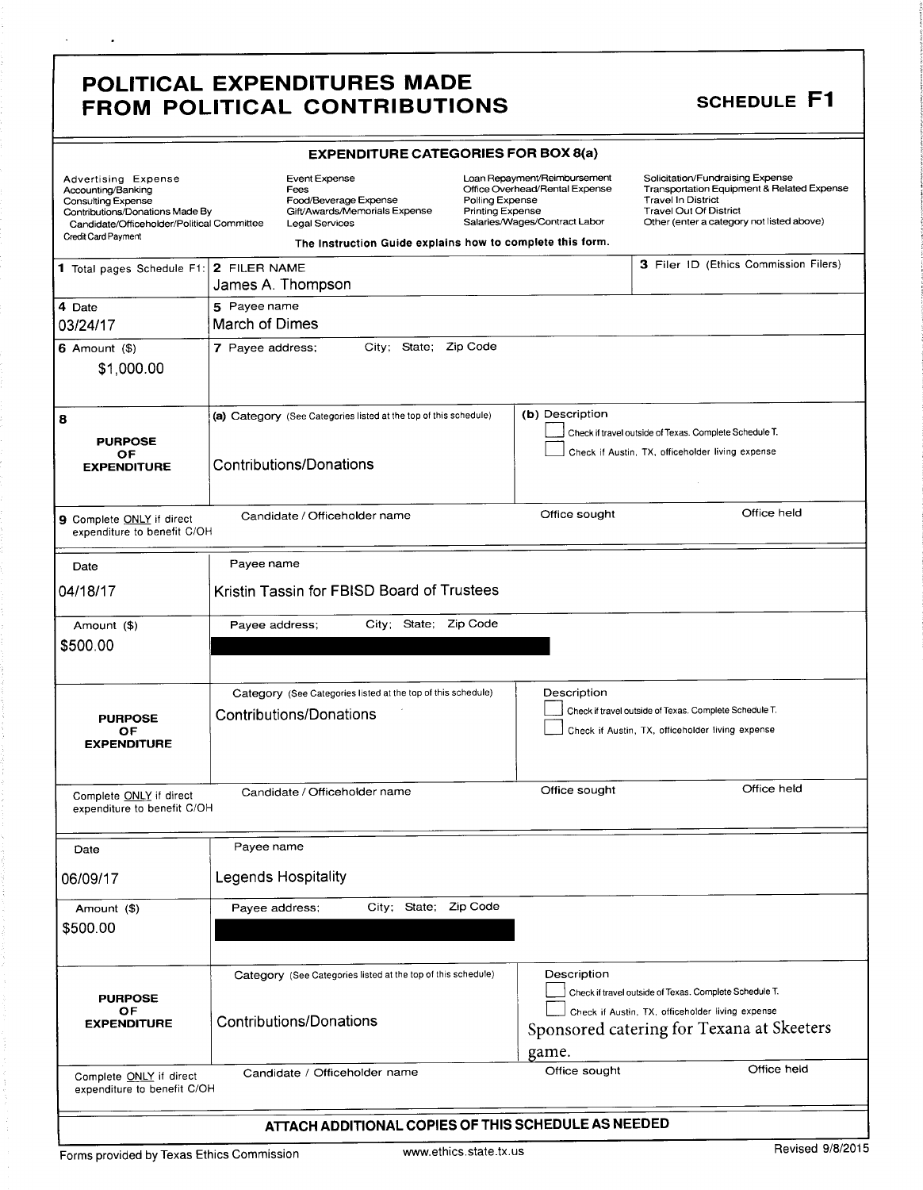### POLITICAL EXPENDITURES MADE FROM POLITICAL CONTRIBUTIONS SCHEDULE F1

¥.

 $\sim 100$ 

|                                                                                                                                                                                | <b>EXPENDITURE CATEGORIES FOR BOX 8(a)</b>                                                                                                                                                                                          |                                                                                                                                                                                                                     |                       |                                                                                                 |                                                                                                                                                                                           |  |  |  |
|--------------------------------------------------------------------------------------------------------------------------------------------------------------------------------|-------------------------------------------------------------------------------------------------------------------------------------------------------------------------------------------------------------------------------------|---------------------------------------------------------------------------------------------------------------------------------------------------------------------------------------------------------------------|-----------------------|-------------------------------------------------------------------------------------------------|-------------------------------------------------------------------------------------------------------------------------------------------------------------------------------------------|--|--|--|
| Advertising Expense<br>Accounting/Banking<br><b>Consulting Expense</b><br>Contributions/Donations Made By<br>Candidate/Officeholder/Political Committee<br>Credit Card Payment |                                                                                                                                                                                                                                     | <b>Event Expense</b><br>Fees<br>Polling Expense<br>Food/Beverage Expense<br>Gift/Awards/Memorials Expense<br><b>Printing Expense</b><br>Legal Services<br>The Instruction Guide explains how to complete this form. |                       | Loan Repayment/Reimbursement<br>Office Overhead/Rental Expense<br>Salaries/Wages/Contract Labor | Solicitation/Fundraising Expense<br>Transportation Equipment & Related Expense<br><b>Travel In District</b><br><b>Travel Out Of District</b><br>Other (enter a category not listed above) |  |  |  |
| 1 Total pages Schedule F1:                                                                                                                                                     | 2 FILER NAME                                                                                                                                                                                                                        | James A. Thompson                                                                                                                                                                                                   |                       |                                                                                                 | 3 Filer ID (Ethics Commission Filers)                                                                                                                                                     |  |  |  |
| 4 Date<br>03/24/17                                                                                                                                                             | 5 Payee name<br>March of Dimes                                                                                                                                                                                                      |                                                                                                                                                                                                                     |                       |                                                                                                 |                                                                                                                                                                                           |  |  |  |
| $6$ Amount $($)$<br>\$1,000.00                                                                                                                                                 | 7 Payee address;                                                                                                                                                                                                                    |                                                                                                                                                                                                                     | City; State; Zip Code |                                                                                                 |                                                                                                                                                                                           |  |  |  |
| 8<br><b>PURPOSE</b><br>ОF<br><b>EXPENDITURE</b>                                                                                                                                | (b) Description<br>(a) Category (See Categories listed at the top of this schedule)<br>Check if travel outside of Texas. Complete Schedule T.<br>Check if Austin, TX, officeholder living expense<br><b>Contributions/Donations</b> |                                                                                                                                                                                                                     |                       |                                                                                                 |                                                                                                                                                                                           |  |  |  |
| 9 Complete ONLY if direct<br>expenditure to benefit C/OH                                                                                                                       |                                                                                                                                                                                                                                     | Candidate / Officeholder name                                                                                                                                                                                       |                       | Office sought                                                                                   | Office held                                                                                                                                                                               |  |  |  |
| Date                                                                                                                                                                           | Payee name                                                                                                                                                                                                                          |                                                                                                                                                                                                                     |                       |                                                                                                 |                                                                                                                                                                                           |  |  |  |
| 04/18/17                                                                                                                                                                       |                                                                                                                                                                                                                                     | Kristin Tassin for FBISD Board of Trustees                                                                                                                                                                          |                       |                                                                                                 |                                                                                                                                                                                           |  |  |  |
| Amount (\$)<br>\$500.00                                                                                                                                                        | Payee address;                                                                                                                                                                                                                      |                                                                                                                                                                                                                     | City; State; Zip Code |                                                                                                 |                                                                                                                                                                                           |  |  |  |
| <b>PURPOSE</b><br>OF<br><b>EXPENDITURE</b>                                                                                                                                     |                                                                                                                                                                                                                                     | Category (See Categories listed at the top of this schedule)<br><b>Contributions/Donations</b>                                                                                                                      |                       | Description                                                                                     | Check if travel outside of Texas. Complete Schedule T.<br>Check if Austin, TX, officeholder living expense                                                                                |  |  |  |
| Complete ONLY if direct<br>expenditure to benefit C/OH                                                                                                                         |                                                                                                                                                                                                                                     | Candidate / Officeholder name                                                                                                                                                                                       |                       | Office sought                                                                                   | Office held                                                                                                                                                                               |  |  |  |
| Date                                                                                                                                                                           | Payee name                                                                                                                                                                                                                          |                                                                                                                                                                                                                     |                       |                                                                                                 |                                                                                                                                                                                           |  |  |  |
| 06/09/17                                                                                                                                                                       |                                                                                                                                                                                                                                     | Legends Hospitality                                                                                                                                                                                                 |                       |                                                                                                 |                                                                                                                                                                                           |  |  |  |
| Amount (\$)<br>\$500.00                                                                                                                                                        | Payee address;                                                                                                                                                                                                                      |                                                                                                                                                                                                                     | City; State; Zip Code |                                                                                                 |                                                                                                                                                                                           |  |  |  |
| <b>PURPOSE</b>                                                                                                                                                                 |                                                                                                                                                                                                                                     | Category (See Categories listed at the top of this schedule)                                                                                                                                                        |                       | Description                                                                                     | Check if travel outside of Texas. Complete Schedule T.                                                                                                                                    |  |  |  |
| OF<br><b>EXPENDITURE</b>                                                                                                                                                       | Check if Austin, TX, officeholder living expense<br><b>Contributions/Donations</b><br>Sponsored catering for Texana at Skeeters<br>game.                                                                                            |                                                                                                                                                                                                                     |                       |                                                                                                 |                                                                                                                                                                                           |  |  |  |
| Complete ONLY if direct<br>expenditure to benefit C/OH                                                                                                                         |                                                                                                                                                                                                                                     | Candidate / Officeholder name                                                                                                                                                                                       |                       | Office sought                                                                                   | Office held                                                                                                                                                                               |  |  |  |
|                                                                                                                                                                                |                                                                                                                                                                                                                                     | ATTACH ADDITIONAL COPIES OF THIS SCHEDULE AS NEEDED                                                                                                                                                                 |                       |                                                                                                 |                                                                                                                                                                                           |  |  |  |